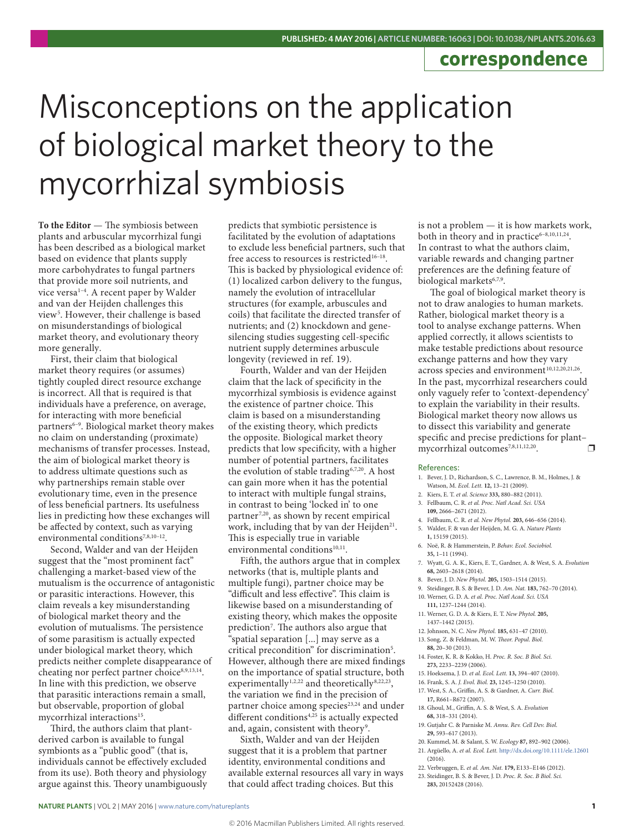## **correspondence**

## Misconceptions on the application of biological market theory to the mycorrhizal symbiosis

**To the Editor** — The symbiosis between plants and arbuscular mycorrhizal fungi has been described as a biological market based on evidence that plants supply more carbohydrates to fungal partners that provide more soil nutrients, and vice versa<sup>1-4</sup>. A recent paper by Walder and van der Heijden challenges this view5 . However, their challenge is based on misunderstandings of biological market theory, and evolutionary theory more generally.

First, their claim that biological market theory requires (or assumes) tightly coupled direct resource exchange is incorrect. All that is required is that individuals have a preference, on average, for interacting with more beneficial partners<sup>6-9</sup>. Biological market theory makes no claim on understanding (proximate) mechanisms of transfer processes. Instead, the aim of biological market theory is to address ultimate questions such as why partnerships remain stable over evolutionary time, even in the presence of less beneficial partners. Its usefulness lies in predicting how these exchanges will be affected by context, such as varying environmental conditions<sup>7,8,10-12</sup>

Second, Walder and van der Heijden suggest that the "most prominent fact" challenging a market-based view of the mutualism is the occurrence of antagonistic or parasitic interactions. However, this claim reveals a key misunderstanding of biological market theory and the evolution of mutualisms. The persistence of some parasitism is actually expected under biological market theory, which predicts neither complete disappearance of cheating nor perfect partner choice<sup>8,9,13,14</sup>. In line with this prediction, we observe that parasitic interactions remain a small, but observable, proportion of global mycorrhizal interactions<sup>15</sup>.

Third, the authors claim that plantderived carbon is available to fungal symbionts as a "public good" (that is, individuals cannot be effectively excluded from its use). Both theory and physiology argue against this. Theory unambiguously predicts that symbiotic persistence is facilitated by the evolution of adaptations to exclude less beneficial partners, such that free access to resources is restricted<sup>16–18</sup>. This is backed by physiological evidence of: (1) localized carbon delivery to the fungus, namely the evolution of intracellular structures (for example, arbuscules and coils) that facilitate the directed transfer of nutrients; and (2) knockdown and genesilencing studies suggesting cell-specific nutrient supply determines arbuscule longevity (reviewed in ref. 19).

Fourth, Walder and van der Heijden claim that the lack of specificity in the mycorrhizal symbiosis is evidence against the existence of partner choice. This claim is based on a misunderstanding of the existing theory, which predicts the opposite. Biological market theory predicts that low specificity, with a higher number of potential partners, facilitates the evolution of stable trading6,7,20. A host can gain more when it has the potential to interact with multiple fungal strains, in contrast to being 'locked in' to one partner<sup>7,20</sup>, as shown by recent empirical work, including that by van der Heijden<sup>21</sup>. This is especially true in variable environmental conditions<sup>10,11</sup>.

Fifth, the authors argue that in complex networks (that is, multiple plants and multiple fungi), partner choice may be "difficult and less effective". This claim is likewise based on a misunderstanding of existing theory, which makes the opposite prediction<sup>7</sup>. The authors also argue that "spatial separation [...] may serve as a critical precondition" for discrimination<sup>5</sup>. However, although there are mixed findings on the importance of spatial structure, both experimentally<sup>1,2,22</sup> and theoretically<sup>8,22,23</sup>, the variation we find in the precision of partner choice among species<sup>23,24</sup> and under different conditions $4,25$  is actually expected and, again, consistent with theory<sup>9</sup>.

Sixth, Walder and van der Heijden suggest that it is a problem that partner identity, environmental conditions and available external resources all vary in ways that could affect trading choices. But this

is not a problem — it is how markets work, both in theory and in practice<sup>6-8,10,11,24</sup>. In contrast to what the authors claim, variable rewards and changing partner preferences are the defining feature of biological markets<sup>6,7,9</sup>.

The goal of biological market theory is not to draw analogies to human markets. Rather, biological market theory is a tool to analyse exchange patterns. When applied correctly, it allows scientists to make testable predictions about resource exchange patterns and how they vary across species and environment<sup>10,12,20,21,26</sup>. In the past, mycorrhizal researchers could only vaguely refer to 'context-dependency' to explain the variability in their results. Biological market theory now allows us to dissect this variability and generate specific and precise predictions for plant– mycorrhizal outcomes<sup>7,8,11,12,20</sup>.  $\Box$ 

## References:

- 1. Bever, J. D., Richardson, S. C., Lawrence, B. M., Holmes, J. & Watson, M. *Ecol. Lett.* **12,** 13–21 (2009).
- 2. Kiers, E. T. *et al. Science* **333,** 880–882 (2011).
- 3. Fellbaum, C. R. *et al. Proc. Natl Acad. Sci. USA*
- **109,** 2666–2671 (2012).
- 4. Fellbaum, C. R. *et al. New Phytol.* **203,** 646–656 (2014). 5. Walder, F. & van der Heijden, M. G. A. *Nature Plants*
- **1,** 15159 (2015).
- 6. Noë, R. & Hammerstein, P. *Behav. Ecol. Sociobiol.* **35,** 1–11 (1994).
- 7. Wyatt, G. A. K., Kiers, E. T., Gardner, A. & West, S. A. *Evolution*  **68,** 2603–2618 (2014).
- 8. Bever, J. D. *New Phytol.* **205,** 1503–1514 (2015).
- 9. Steidinger, B. S. & Bever, J. D. *Am. Nat.* **183,** 762–70 (2014). 10. Werner, G. D. A. *et al. Proc. Natl Acad. Sci. USA*
- **111,** 1237–1244 (2014). 11. Werner, G. D. A. & Kiers, E. T. *New Phytol.* **205,**
- 1437–1442 (2015).
- 12. Johnson, N. C. *New Phytol.* **185,** 631–47 (2010).
- 13. Song, Z. & Feldman, M. W. *Theor. Popul. Biol.* **88,** 20–30 (2013).
- 14. Foster, K. R. & Kokko, H. *Proc. R. Soc. B Biol. Sci.* **273,** 2233–2239 (2006).
- 15. Hoeksema, J. D. *et al. Ecol. Lett.* **13,** 394–407 (2010).
- 16. Frank, S. A. *J. Evol. Biol.* **23,** 1245–1250 (2010).
- 17. West, S. A., Griffin, A. S. & Gardner, A. *Curr. Biol.* **17,** R661–R672 (2007).
- 18. Ghoul, M., Griffin, A. S. & West, S. A. *Evolution*  **68,** 318–331 (2014).
- 19. Gutjahr C. & Parniske M. *Annu. Rev. Cell Dev. Biol*. **29,** 593–617 (2013).
- 20. Kummel, M. & Salant, S. W. *Ecology* **87,** 892–902 (2006).
- 21. Argüello, A. *et al. Ecol. Lett.* http://dx.doi.org/10.1111/ele.12601 (2016).
- 22. Verbruggen, E. *et al. Am. Nat.* **179,** E133–E146 (2012).
- 23. Steidinger, B. S. & Bever, J. D. *Proc. R. Soc. B Biol. Sci.* **283,** 20152428 (2016).